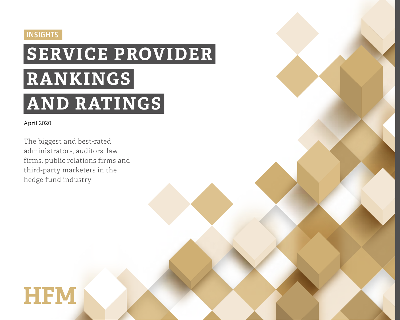## **INSIGHTS**

# **SERVICE PROVIDER RANKINGS AND RATINGS**

#### April 2020

The biggest and best-rated administrators, auditors, law firms, public relations firms and third-party marketers in the hedge fund industry